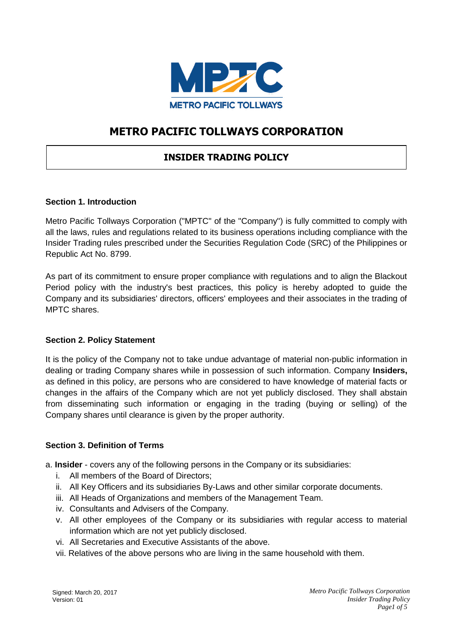

# **METRO PACIFIC TOLLWAYS CORPORATION**

## **INSIDER TRADING POLICY**

### **Section 1. Introduction**

Metro Pacific Tollways Corporation ("MPTC" of the "Company") is fully committed to comply with all the laws, rules and regulations related to its business operations including compliance with the Insider Trading rules prescribed under the Securities Regulation Code (SRC) of the Philippines or Republic Act No. 8799.

As part of its commitment to ensure proper compliance with regulations and to align the Blackout Period policy with the industry's best practices, this policy is hereby adopted to guide the Company and its subsidiaries' directors, officers' employees and their associates in the trading of MPTC shares.

#### **Section 2. Policy Statement**

It is the policy of the Company not to take undue advantage of material non-public information in dealing or trading Company shares while in possession of such information. Company **Insiders,**  as defined in this policy, are persons who are considered to have knowledge of material facts or changes in the affairs of the Company which are not yet publicly disclosed. They shall abstain from disseminating such information or engaging in the trading (buying or selling) of the Company shares until clearance is given by the proper authority.

#### **Section 3. Definition of Terms**

a. **Insider** - covers any of the following persons in the Company or its subsidiaries:

- i. All members of the Board of Directors;
- ii. All Key Officers and its subsidiaries By-Laws and other similar corporate documents.
- iii. All Heads of Organizations and members of the Management Team.
- iv. Consultants and Advisers of the Company.
- v. All other employees of the Company or its subsidiaries with regular access to material information which are not yet publicly disclosed.
- vi. All Secretaries and Executive Assistants of the above.
- vii. Relatives of the above persons who are living in the same household with them.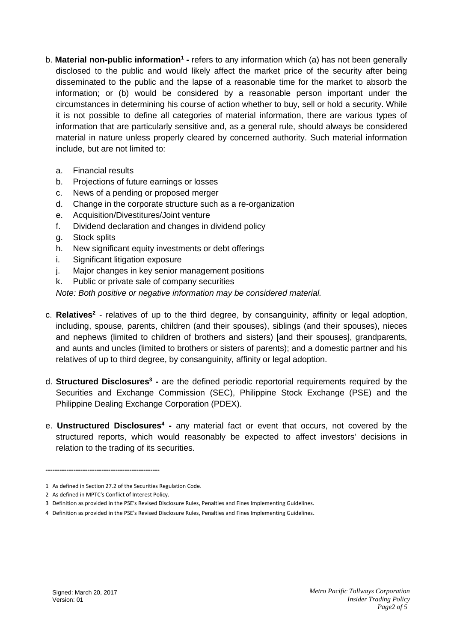- b. Material non-public information<sup>1</sup> refers to any information which (a) has not been generally disclosed to the public and would likely affect the market price of the security after being disseminated to the public and the lapse of a reasonable time for the market to absorb the information; or (b) would be considered by a reasonable person important under the circumstances in determining his course of action whether to buy, sell or hold a security. While it is not possible to define all categories of material information, there are various types of information that are particularly sensitive and, as a general rule, should always be considered material in nature unless properly cleared by concerned authority. Such material information include, but are not limited to:
	- a. Financial results
	- b. Projections of future earnings or losses
	- c. News of a pending or proposed merger
	- d. Change in the corporate structure such as a re-organization
	- e. Acquisition/Divestitures/Joint venture
	- f. Dividend declaration and changes in dividend policy
	- g. Stock splits
	- h. New significant equity investments or debt offerings
	- i. Significant litigation exposure
	- j. Major changes in key senior management positions
	- k. Public or private sale of company securities

*Note: Both positive or negative information may be considered material.* 

- c. Relatives<sup>2</sup> relatives of up to the third degree, by consanguinity, affinity or legal adoption, including, spouse, parents, children (and their spouses), siblings (and their spouses), nieces and nephews (limited to children of brothers and sisters) [and their spouses], grandparents, and aunts and uncles (limited to brothers or sisters of parents); and a domestic partner and his relatives of up to third degree, by consanguinity, affinity or legal adoption.
- d. **Structured Disclosures<sup>3</sup> -** are the defined periodic reportorial requirements required by the Securities and Exchange Commission (SEC), Philippine Stock Exchange (PSE) and the Philippine Dealing Exchange Corporation (PDEX).
- e. **Unstructured Disclosures<sup>4</sup> -** any material fact or event that occurs, not covered by the structured reports, which would reasonably be expected to affect investors' decisions in relation to the trading of its securities.

**-------------------------------------------------**

<sup>1</sup> As defined in Section 27.2 of the Securities Regulation Code.

<sup>2</sup> As defined in MPTC's Conflict of Interest Policy.

<sup>3</sup> Definition as provided in the PSE's Revised Disclosure Rules, Penalties and Fines Implementing Guidelines.

<sup>4</sup> Definition as provided in the PSE's Revised Disclosure Rules, Penalties and Fines Implementing Guidelines.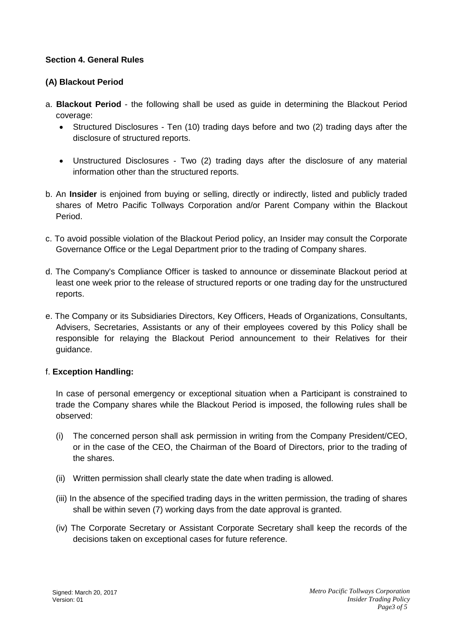### **Section 4. General Rules**

## **(A) Blackout Period**

- a. **Blackout Period**  the following shall be used as guide in determining the Blackout Period coverage:
	- Structured Disclosures Ten (10) trading days before and two (2) trading days after the disclosure of structured reports.
	- Unstructured Disclosures Two (2) trading days after the disclosure of any material information other than the structured reports.
- b. An **Insider** is enjoined from buying or selling, directly or indirectly, listed and publicly traded shares of Metro Pacific Tollways Corporation and/or Parent Company within the Blackout Period.
- c. To avoid possible violation of the Blackout Period policy, an Insider may consult the Corporate Governance Office or the Legal Department prior to the trading of Company shares.
- d. The Company's Compliance Officer is tasked to announce or disseminate Blackout period at least one week prior to the release of structured reports or one trading day for the unstructured reports.
- e. The Company or its Subsidiaries Directors, Key Officers, Heads of Organizations, Consultants, Advisers, Secretaries, Assistants or any of their employees covered by this Policy shall be responsible for relaying the Blackout Period announcement to their Relatives for their guidance.

## f. **Exception Handling:**

In case of personal emergency or exceptional situation when a Participant is constrained to trade the Company shares while the Blackout Period is imposed, the following rules shall be observed:

- (i) The concerned person shall ask permission in writing from the Company President/CEO, or in the case of the CEO, the Chairman of the Board of Directors, prior to the trading of the shares.
- (ii) Written permission shall clearly state the date when trading is allowed.
- (iii) In the absence of the specified trading days in the written permission, the trading of shares shall be within seven (7) working days from the date approval is granted.
- (iv) The Corporate Secretary or Assistant Corporate Secretary shall keep the records of the decisions taken on exceptional cases for future reference.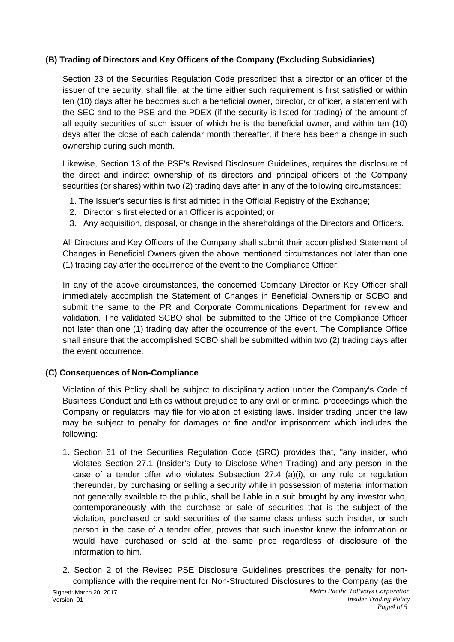## **(B) Trading of Directors and Key Officers of the Company (Excluding Subsidiaries)**

Section 23 of the Securities Regulation Code prescribed that a director or an officer of the issuer of the security, shall file, at the time either such requirement is first satisfied or within ten (10) days after he becomes such a beneficial owner, director, or officer, a statement with the SEC and to the PSE and the PDEX (if the security is listed for trading) of the amount of all equity securities of such issuer of which he is the beneficial owner, and within ten (10) days after the close of each calendar month thereafter, if there has been a change in such ownership during such month.

Likewise, Section 13 of the PSE's Revised Disclosure Guidelines, requires the disclosure of the direct and indirect ownership of its directors and principal officers of the Company securities (or shares) within two (2) trading days after in any of the following circumstances:

- 1. The Issuer's securities is first admitted in the Official Registry of the Exchange;
- 2. Director is first elected or an Officer is appointed; or
- 3. Any acquisition, disposal, or change in the shareholdings of the Directors and Officers.

All Directors and Key Officers of the Company shall submit their accomplished Statement of Changes in Beneficial Owners given the above mentioned circumstances not later than one (1) trading day after the occurrence of the event to the Compliance Officer.

In any of the above circumstances, the concerned Company Director or Key Officer shall immediately accomplish the Statement of Changes in Beneficial Ownership or SCBO and submit the same to the PR and Corporate Communications Department for review and validation. The validated SCBO shall be submitted to the Office of the Compliance Officer not later than one (1) trading day after the occurrence of the event. The Compliance Office shall ensure that the accomplished SCBO shall be submitted within two (2) trading days after the event occurrence.

## **(C) Consequences of Non-Compliance**

Violation of this Policy shall be subject to disciplinary action under the Company's Code of Business Conduct and Ethics without prejudice to any civil or criminal proceedings which the Company or regulators may file for violation of existing laws. Insider trading under the law may be subject to penalty for damages or fine and/or imprisonment which includes the following:

- 1. Section 61 of the Securities Regulation Code (SRC) provides that, "any insider, who violates Section 27.1 (Insider's Duty to Disclose When Trading) and any person in the case of a tender offer who violates Subsection  $27.4$  (a)(i), or any rule or regulation thereunder, by purchasing or selling a security while in possession of material information not generally available to the public, shall be liable in a suit brought by any investor who, contemporaneously with the purchase or sale of securities that is the subject of the violation, purchased or sold securities of the same class unless such insider, or such person in the case of a tender offer, proves that such investor knew the information or would have purchased or sold at the same price regardless of disclosure of the information to him.
- *Metro Pacific Tollways Corporation Insider Trading Policy* Signed: March 20, 2017 Version: 01 2. Section 2 of the Revised PSE Disclosure Guidelines prescribes the penalty for noncompliance with the requirement for Non-Structured Disclosures to the Company (as the